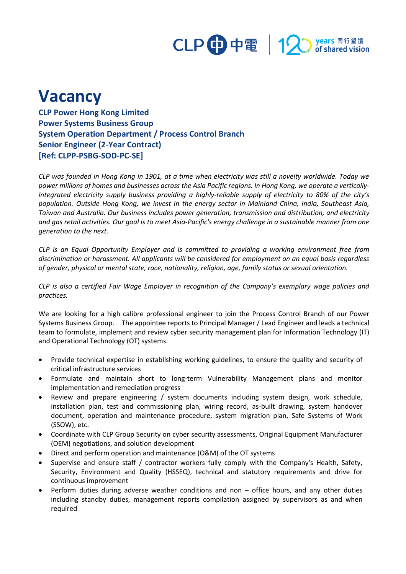

## **Vacancy**

**CLP Power Hong Kong Limited Power Systems Business Group System Operation Department / Process Control Branch Senior Engineer (2-Year Contract) [Ref: CLPP-PSBG-SOD-PC-SE]**

*CLP was founded in Hong Kong in 1901, at a time when electricity was still a novelty worldwide. Today we power millions of homes and businesses across the Asia Pacific regions. In Hong Kong, we operate a verticallyintegrated electricity supply business providing a highly-reliable supply of electricity to 80% of the city's population. Outside Hong Kong, we invest in the energy sector in Mainland China, India, Southeast Asia, Taiwan and Australia. Our business includes power generation, transmission and distribution, and electricity and gas retail activities. Our goal is to meet Asia-Pacific's energy challenge in a sustainable manner from one generation to the next.*

*CLP is an Equal Opportunity Employer and is committed to providing a working environment free from discrimination or harassment. All applicants will be considered for employment on an equal basis regardless of gender, physical or mental state, race, nationality, religion, age, family status or sexual orientation.*

*CLP is also a certified Fair Wage Employer in recognition of the Company's exemplary wage policies and practices.*

We are looking for a high calibre professional engineer to join the Process Control Branch of our Power Systems Business Group. The appointee reports to Principal Manager / Lead Engineer and leads a technical team to formulate, implement and review cyber security management plan for Information Technology (IT) and Operational Technology (OT) systems.

- Provide technical expertise in establishing working guidelines, to ensure the quality and security of critical infrastructure services
- Formulate and maintain short to long-term Vulnerability Management plans and monitor implementation and remediation progress
- Review and prepare engineering / system documents including system design, work schedule, installation plan, test and commissioning plan, wiring record, as-built drawing, system handover document, operation and maintenance procedure, system migration plan, Safe Systems of Work (SSOW), etc.
- Coordinate with CLP Group Security on cyber security assessments, Original Equipment Manufacturer (OEM) negotiations, and solution development
- Direct and perform operation and maintenance (O&M) of the OT systems
- Supervise and ensure staff / contractor workers fully comply with the Company's Health, Safety, Security, Environment and Quality (HSSEQ), technical and statutory requirements and drive for continuous improvement
- Perform duties during adverse weather conditions and non office hours, and any other duties including standby duties, management reports compilation assigned by supervisors as and when required